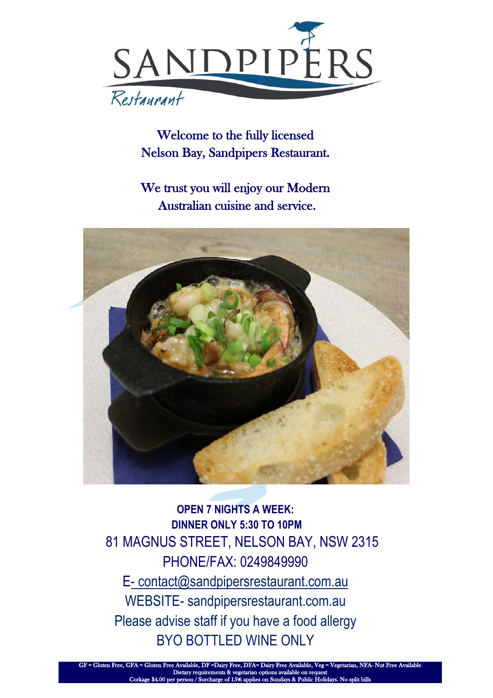

Welcome to the fully licensed Nelson Bay, Sandpipers Restaurant.

We trust you will enjoy our Modern Australian cuisine and service.



**OPEN 7 NIGHTS A WEEK: DINNER ONLY 5:30 TO 10PM**  81 MAGNUS STREET, NELSON BAY, NSW 2315 PHONE/FAX: 0249849990 E- contact@sandpipersrestaurant.com.au WEBSITE- sandpipersrestaurant.com.au Please advise staff if you have a food allergy BYO BOTTLED WINE ONLY

vailable, DF =Dairy Free, DFA= I Dietary requirements & vegetarian options available on request 4.00 per perso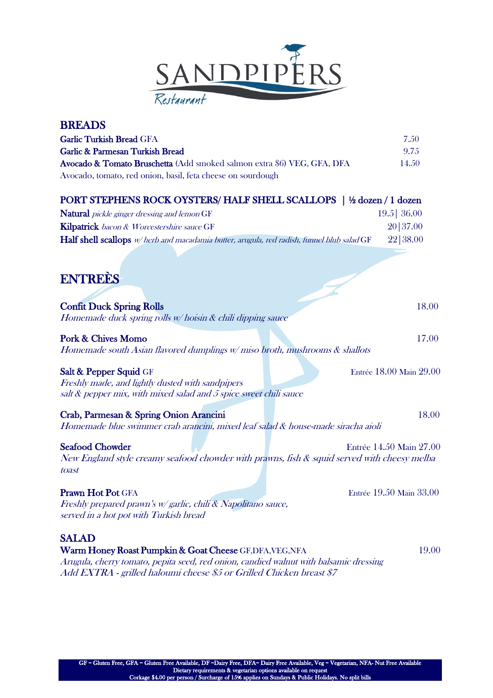

| <b>BREADS</b>                                                                               |                         |
|---------------------------------------------------------------------------------------------|-------------------------|
| Garlic Turkish Bread GFA                                                                    | 7.50                    |
| <b>Garlic &amp; Parmesan Turkish Bread</b>                                                  | 9.75                    |
| Avocado & Tomato Bruschetta (Add smoked salmon extra \$6) VEG, GFA, DFA                     | 14.50                   |
| Avocado, tomato, red onion, basil, feta cheese on sourdough                                 |                         |
| PORT STEPHENS ROCK OYSTERS/ HALF SHELL SCALLOPS   1/2 dozen / 1 dozen                       |                         |
| <b>Natural</b> pickle ginger dressing and lemon GF                                          | $19.5$ 36.00            |
| Kilpatrick bacon & Worcestershire sauce GF                                                  | 20   37.00              |
| Half shell scallops w/herb and macadamia butter, arugula, red radish, funnel blub salad GF  | 22   38.00              |
|                                                                                             |                         |
| <b>ENTREES</b>                                                                              |                         |
|                                                                                             |                         |
| <b>Confit Duck Spring Rolls</b>                                                             | 18.00                   |
| Homemade duck spring rolls w/hoisin & chili dipping sauce                                   |                         |
|                                                                                             |                         |
| <b>Pork &amp; Chives Momo</b>                                                               | 17.00                   |
| Homemade south Asian flavored dumplings $w/m$ iso broth, mushrooms $\&$ shallots            |                         |
| Salt & Pepper Squid GF                                                                      | Entrée 18.00 Main 29.00 |
| Freshly made, and lightly dusted with sandpipers                                            |                         |
| salt & pepper mix, with mixed salad and 5 spice sweet chili sauce                           |                         |
| Crab, Parmesan & Spring Onion Arancini                                                      | 18.00                   |
| Homemade blue swimmer crab arancini, mixed leaf salad & house-made siracha aioli            |                         |
| <b>Seafood Chowder</b>                                                                      | Entrée 14.50 Main 27.00 |
| New England style creamy seafood chowder with prawns, fish & squid served with cheesy melba |                         |
| toast                                                                                       |                         |
| Prawn Hot Pot GFA                                                                           | Entrée 19.50 Main 33.00 |
| Freshly prepared prawn's w/garlic, chili & Napolitano sauce,                                |                         |
| served in a hot pot with Turkish bread                                                      |                         |
| <b>SALAD</b>                                                                                |                         |
| Warm Honey Roast Pumpkin & Goat Cheese GF, DFA, VEG, NFA                                    | 19.00                   |
| Arugula, cherry tomato, pepita seed, red onion, candied walnut with balsamic dressing       |                         |
| Add EXTRA - grilled haloumi cheese \$5 or Grilled Chicken breast \$7                        |                         |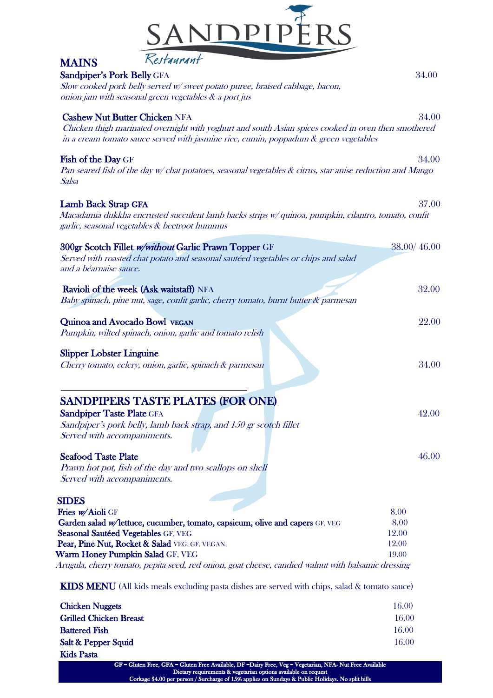

| <b>MAINS</b>                     | Kestaurant                                                                                                    |             |
|----------------------------------|---------------------------------------------------------------------------------------------------------------|-------------|
| Sandpiper's Pork Belly GFA       |                                                                                                               | 34.00       |
|                                  | Slow cooked pork belly served w/sweet potato puree, braised cabbage, bacon,                                   |             |
|                                  | onion jam with seasonal green vegetables & a port jus                                                         |             |
|                                  | <b>Cashew Nut Butter Chicken NFA</b>                                                                          | 34.00       |
|                                  | Chicken thigh marinated overnight with yoghurt and south Asian spices cooked in oven then smothered           |             |
|                                  | in a cream tomato sauce served with jasmine rice, cumin, poppadum $\&$ green vegetables                       |             |
| Fish of the Day GF               |                                                                                                               | 34.00       |
| Salsa                            | Pan seared fish of the day $w$ chat potatoes, seasonal vegetables $\&$ citrus, star anise reduction and Mango |             |
| Lamb Back Strap GFA              |                                                                                                               | 37.00       |
|                                  | Macadamia dukkha encrusted succulent lamb backs strips w/ quinoa, pumpkin, cilantro, tomato, confit           |             |
|                                  | garlic, seasonal vegetables & beetroot hummus                                                                 |             |
|                                  | 300gr Scotch Fillet w/without Garlic Prawn Topper GF                                                          | 38.00/46.00 |
|                                  | Served with roasted chat potato and seasonal sautéed vegetables or chips and salad                            |             |
| and a béarnaise sauce.           |                                                                                                               |             |
|                                  | Ravioli of the week (Ask waitstaff) NFA                                                                       | 32.00       |
|                                  | Baby spinach, pine nut, sage, confit garlic, cherry tomato, burnt butter & parmesan                           |             |
|                                  | Quinoa and Avocado Bowl VEGAN                                                                                 | 22.00       |
|                                  | Pumpkin, wilted spinach, onion, garlic and tomato relish                                                      |             |
| <b>Slipper Lobster Linguine</b>  |                                                                                                               |             |
|                                  | Cherry tomato, celery, onion, garlic, spinach & parmesan                                                      | 34.00       |
|                                  |                                                                                                               |             |
|                                  | <b>SANDPIPERS TASTE PLATES (FOR ONE)</b>                                                                      |             |
| <b>Sandpiper Taste Plate GFA</b> |                                                                                                               | 42.00       |
|                                  | Sandpiper's pork belly, lamb back strap, and 150 gr scotch fillet                                             |             |
| Served with accompaniments.      |                                                                                                               |             |
|                                  |                                                                                                               |             |
| <b>Seafood Taste Plate</b>       |                                                                                                               | 46.00       |
| Served with accompaniments.      | Prawn hot pot, fish of the day and two scallops on shell                                                      |             |
|                                  |                                                                                                               |             |
| <b>SIDES</b>                     |                                                                                                               |             |
| Fries w/Aioli GF                 |                                                                                                               | 8.00        |
|                                  | Garden salad w/lettuce, cucumber, tomato, capsicum, olive and capers GF, VEG                                  | 8.00        |
|                                  | Seasonal Sautéed Vegetables GF, VEG                                                                           | 12.00       |
|                                  | Pear, Pine Nut, Rocket & Salad VEG, GF, VEGAN,                                                                | 12.00       |
|                                  | Warm Honey Pumpkin Salad GF, VEG                                                                              | 19.00       |

KIDS MENU (All kids meals excluding pasta dishes are served with chips, salad & tomato sauce)

| <b>Chicken Nuggets</b>        | 16.00 |
|-------------------------------|-------|
| <b>Grilled Chicken Breast</b> | 16.00 |
| <b>Battered Fish</b>          | 16.00 |
| Salt & Pepper Squid           | 16.00 |
| Kids Pasta                    |       |

GF = Gluten Free, GFA = Gluten Free Available, DF =Dairy Free, Veg = Vegetarian, NFA- Nut Free Available Dietary requirements & vegetarian options available on request Corkage \$4.00 per person / Surcharge of 15% applies on Sundays & Public Holidays. No split bills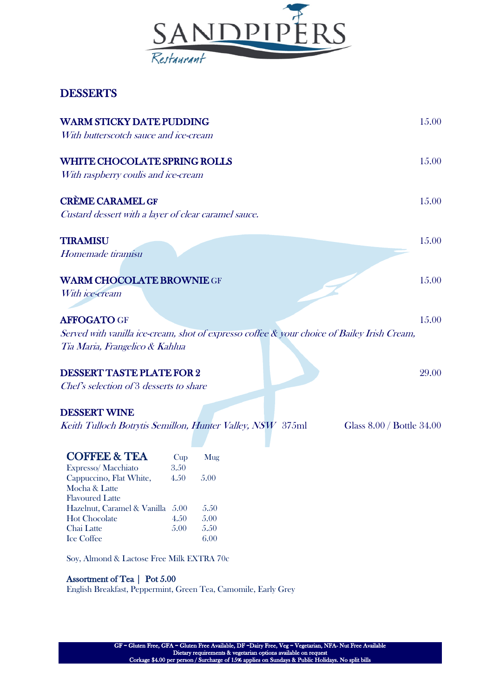

# **DESSERTS**

| <b>WARM STICKY DATE PUDDING</b><br>With butterscotch sauce and ice-cream                    |      |      |  | 15.00                     |
|---------------------------------------------------------------------------------------------|------|------|--|---------------------------|
| <b>WHITE CHOCOLATE SPRING ROLLS</b>                                                         |      |      |  | 15.00                     |
| With raspberry coulis and ice-cream                                                         |      |      |  |                           |
| <b>CRÈME CARAMEL GF</b>                                                                     |      |      |  | 15.00                     |
| Custard dessert with a layer of clear caramel sauce.                                        |      |      |  |                           |
|                                                                                             |      |      |  |                           |
| <b>TIRAMISU</b>                                                                             |      |      |  | 15.00                     |
| Homemade tiramisu                                                                           |      |      |  |                           |
| <b>WARM CHOCOLATE BROWNIE GF</b>                                                            |      |      |  | 15.00                     |
| With ice-cream                                                                              |      |      |  |                           |
|                                                                                             |      |      |  |                           |
| <b>AFFOGATO GF</b>                                                                          |      |      |  | 15.00                     |
| Served with vanilla ice-cream, shot of expresso coffee & your choice of Bailey Irish Cream, |      |      |  |                           |
| Tia Maria, Frangelico & Kahlua                                                              |      |      |  |                           |
|                                                                                             |      |      |  |                           |
| <b>DESSERT TASTE PLATE FOR 2</b>                                                            |      |      |  | 29.00                     |
| Chef's selection of 3 desserts to share                                                     |      |      |  |                           |
|                                                                                             |      |      |  |                           |
| <b>DESSERT WINE</b>                                                                         |      |      |  |                           |
| Keith Tulloch Botrytis Semillon, Hunter Valley, NSW 375ml                                   |      |      |  | Glass 8.00 / Bottle 34.00 |
|                                                                                             |      |      |  |                           |
| <b>COFFEE &amp; TEA</b>                                                                     | Cup  | Mug  |  |                           |
| Expresso/Macchiato                                                                          | 3.50 |      |  |                           |
| Cappuccino, Flat White,                                                                     | 4.50 | 5.00 |  |                           |
| Mocha & Latte                                                                               |      |      |  |                           |
| <b>Flavoured Latte</b>                                                                      |      |      |  |                           |
| Hazelnut, Caramel & Vanilla 5.00                                                            |      | 5.50 |  |                           |
| <b>Hot Chocolate</b>                                                                        | 4.50 | 5.00 |  |                           |
| Chai Latte                                                                                  | 5.00 | 5.50 |  |                           |

Soy, Almond & Lactose Free Milk EXTRA 70c

Ice Coffee 6.00

### Assortment of Tea | Pot 5.00

English Breakfast, Peppermint, Green Tea, Camomile, Early Grey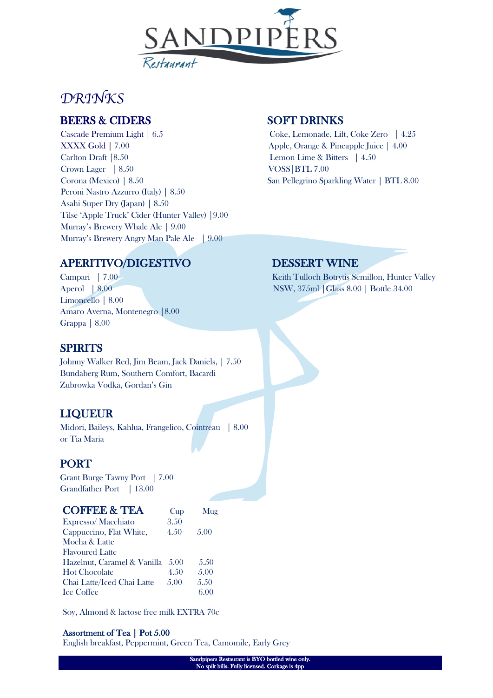

# *DRINKS*

# BEERS & CIDERS SOFT DRINKS

Cascade Premium Light | 6.5 Coke, Lemonade, Lift, Coke Zero | 4.25 XXXX Gold | 7.00 **Apple, Orange & Pineapple Juice** | 4.00 Carlton Draft | 8.50 Lemon Lime & Bitters | 4.50 Crown Lager | 8.50 VOSS | BTL 7.00 Corona (Mexico) | 8.50 San Pellegrino Sparkling Water | BTL 8.00 Peroni Nastro Azzurro (Italy) | 8.50 Asahi Super Dry (Japan) | 8.50 Tilse 'Apple Truck' Cider (Hunter Valley) |9.00 Murray's Brewery Whale Ale | 9.00 Murray's Brewery Angry Man Pale Ale | 9.00

# APERITIVO/DIGESTIVO DESSERT WINE

Limoncello | 8.00 Amaro Averna, Montenegro |8.00 Grappa | 8.00

### **SPIRITS**

Johnny Walker Red, Jim Beam, Jack Daniels, | 7.50 Bundaberg Rum, Southern Comfort, Bacardi Zubrowka Vodka, Gordan's Gin

# LIQUEUR

Midori, Baileys, Kahlua, Frangelico, Cointreau | 8.00 or Tia Maria

# PORT

Grant Burge Tawny Port | 7.00 Grandfather Port | 13.00

| <b>COFFEE &amp; TEA</b>     | Cup   | Mug  |
|-----------------------------|-------|------|
| Expresso/Macchiato          | 3.50  |      |
| Cappuccino, Flat White,     | 4.50  | 5.00 |
| Mocha & Latte               |       |      |
| <b>Flavoured Latte</b>      |       |      |
| Hazelnut, Caramel & Vanilla | .5(0) | 5.50 |
| <b>Hot Chocolate</b>        | 4.50  | 5.00 |
| Chai Latte/Iced Chai Latte  | 5.00  | 5.50 |
| <b>Ice Coffee</b>           |       | 6.00 |
|                             |       |      |

Soy, Almond & lactose free milk EXTRA 70c

### Assortment of Tea | Pot 5.00

English breakfast, Peppermint, Green Tea, Camomile, Early Grey

Campari | 7.00 Keith Tulloch Botrytis Semillon, Hunter Valley Aperol | 8.00 NSW, 375ml | Glass 8.00 | Bottle 34.00